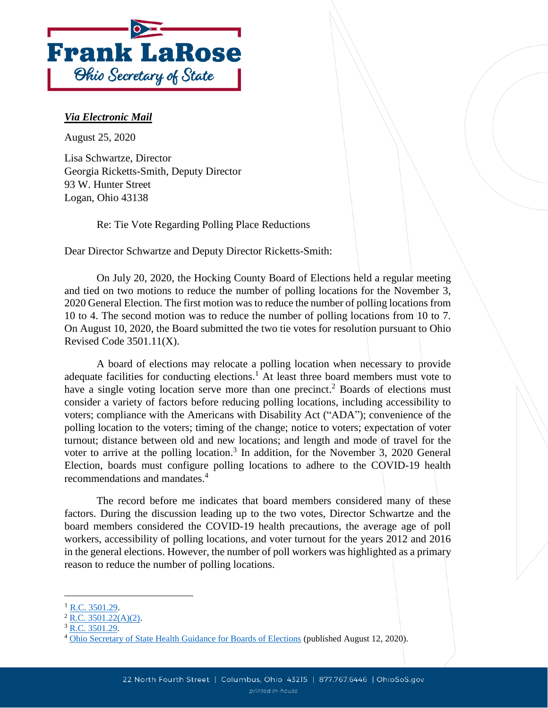

## *Via Electronic Mail*

August 25, 2020

Lisa Schwartze, Director Georgia Ricketts-Smith, Deputy Director 93 W. Hunter Street Logan, Ohio 43138

Re: Tie Vote Regarding Polling Place Reductions

Dear Director Schwartze and Deputy Director Ricketts-Smith:

On July 20, 2020, the Hocking County Board of Elections held a regular meeting and tied on two motions to reduce the number of polling locations for the November 3, 2020 General Election. The first motion was to reduce the number of polling locations from 10 to 4. The second motion was to reduce the number of polling locations from 10 to 7. On August 10, 2020, the Board submitted the two tie votes for resolution pursuant to Ohio Revised Code 3501.11(X).

A board of elections may relocate a polling location when necessary to provide adequate facilities for conducting elections.<sup>1</sup> At least three board members must vote to have a single voting location serve more than one precinct.<sup>2</sup> Boards of elections must consider a variety of factors before reducing polling locations, including accessibility to voters; compliance with the Americans with Disability Act ("ADA"); convenience of the polling location to the voters; timing of the change; notice to voters; expectation of voter turnout; distance between old and new locations; and length and mode of travel for the voter to arrive at the polling location.<sup>3</sup> In addition, for the November 3, 2020 General Election, boards must configure polling locations to adhere to the COVID-19 health recommendations and mandates.<sup>4</sup>

The record before me indicates that board members considered many of these factors. During the discussion leading up to the two votes, Director Schwartze and the board members considered the COVID-19 health precautions, the average age of poll workers, accessibility of polling locations, and voter turnout for the years 2012 and 2016 in the general elections. However, the number of poll workers was highlighted as a primary reason to reduce the number of polling locations.

 $<sup>1</sup>$  [R.C. 3501.29.](http://codes.ohio.gov/orc/3501.29v1)</sup>

 $2$  [R.C. 3501.22\(A\)\(2\).](http://codes.ohio.gov/orc/3501.22)

 $3 \underline{R.C.} 3501.29.$ 

<sup>4</sup> [Ohio Secretary of State Health Guidance for Boards of Elections](https://www.ohiosos.gov/globalassets/media-center/news/2020/2020-08-12.pdf) (published August 12, 2020).